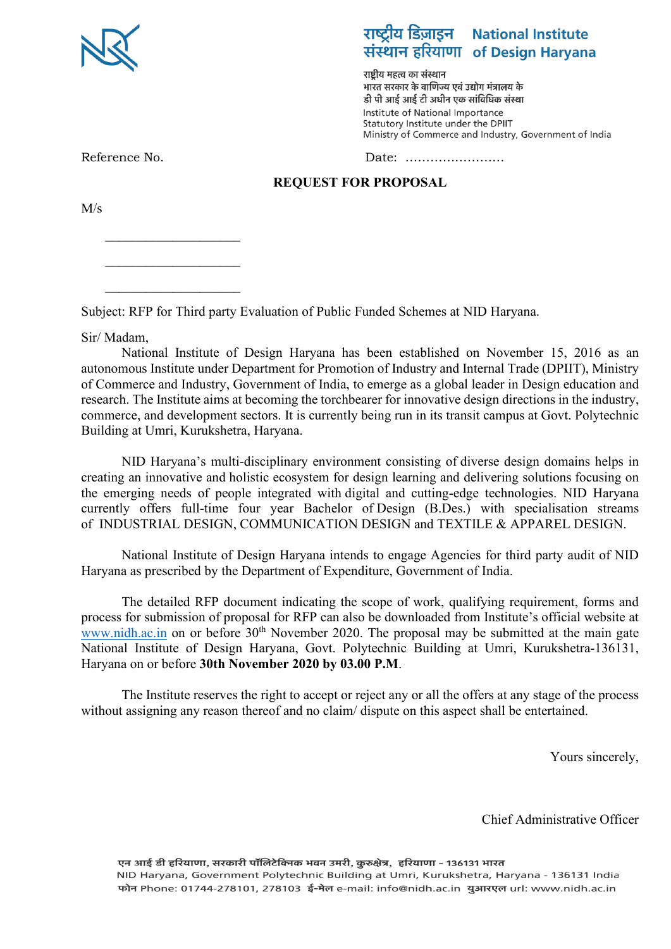

# राष्ट्रीय डिज़ाइन National Institute संस्थान हरियाणा of Design Haryana

राष्टीय महत्व का संस्थान भारत सरकार के वाणिज्य एवं उद्योग मंत्रालय के डी पी आई आई टी अधीन एक सांविधिक संस्था Institute of National Importance Statutory Institute under the DPIIT Ministry of Commerce and Industry, Government of India

 $\overline{\phantom{a}}$  , which is a set of the set of the set of the set of the set of the set of the set of the set of the set of the set of the set of the set of the set of the set of the set of the set of the set of the set of th

 $\overline{\phantom{a}}$  , which is a set of the set of the set of the set of the set of the set of the set of the set of the set of the set of the set of the set of the set of the set of the set of the set of the set of the set of th

Reference No. 2008 2012 12:20 2012 2014 2015 2016 2017 2018 2019 2017 2018 2019 2017 2018 2019 2017 2018 2019 2017 2017 2017 2018 2019 2017 2018 2019 2017 2017 2018 2019 2017 2017 2018 2019 2017 2017 2017 2017 2017 2017 20

#### **REQUEST FOR PROPOSAL**

M/s

Subject: RFP for Third party Evaluation of Public Funded Schemes at NID Haryana.

Sir/ Madam,

National Institute of Design Haryana has been established on November 15, 2016 as an autonomous Institute under Department for Promotion of Industry and Internal Trade (DPIIT), Ministry of Commerce and Industry, Government of India, to emerge as a global leader in Design education and research. The Institute aims at becoming the torchbearer for innovative design directions in the industry, commerce, and development sectors. It is currently being run in its transit campus at Govt. Polytechnic Building at Umri, Kurukshetra, Haryana.

NID Haryana's multi-disciplinary environment consisting of diverse design domains helps in creating an innovative and holistic ecosystem for design learning and delivering solutions focusing on the emerging needs of people integrated with digital and cutting-edge technologies. NID Haryana currently offers full-time four year Bachelor of Design (B.Des.) with specialisation streams of INDUSTRIAL DESIGN, COMMUNICATION DESIGN and TEXTILE & APPAREL DESIGN.

National Institute of Design Haryana intends to engage Agencies for third party audit of NID Haryana as prescribed by the Department of Expenditure, Government of India.

The detailed RFP document indicating the scope of work, qualifying requirement, forms and process for submission of proposal for RFP can also be downloaded from Institute's official website at [www.nidh.ac.in](http://www.nidh.ac.in/) on or before 30<sup>th</sup> November 2020. The proposal may be submitted at the main gate National Institute of Design Haryana, Govt. Polytechnic Building at Umri, Kurukshetra-136131, Haryana on or before **30th November 2020 by 03.00 P.M**.

The Institute reserves the right to accept or reject any or all the offers at any stage of the process without assigning any reason thereof and no claim/ dispute on this aspect shall be entertained.

Yours sincerely,

Chief Administrative Officer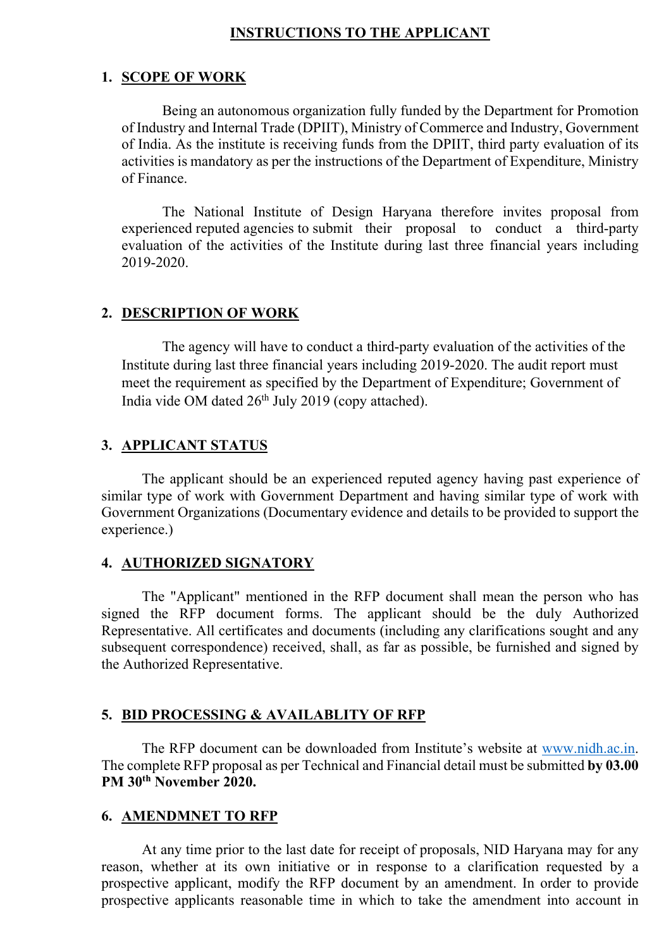### **INSTRUCTIONS TO THE APPLICANT**

### **1. SCOPE OF WORK**

Being an autonomous organization fully funded by the Department for Promotion of Industry and Internal Trade (DPIIT), Ministry of Commerce and Industry, Government of India. As the institute is receiving funds from the DPIIT, third party evaluation of its activities is mandatory as per the instructions of the Department of Expenditure, Ministry of Finance.

The National Institute of Design Haryana therefore invites proposal from experienced reputed agencies to submit their proposal to conduct a third-party evaluation of the activities of the Institute during last three financial years including 2019-2020.

#### **2. DESCRIPTION OF WORK**

The agency will have to conduct a third-party evaluation of the activities of the Institute during last three financial years including 2019-2020. The audit report must meet the requirement as specified by the Department of Expenditure; Government of India vide OM dated 26th July 2019 (copy attached).

#### **3. APPLICANT STATUS**

The applicant should be an experienced reputed agency having past experience of similar type of work with Government Department and having similar type of work with Government Organizations (Documentary evidence and details to be provided to support the experience.)

#### **4. AUTHORIZED SIGNATORY**

The "Applicant" mentioned in the RFP document shall mean the person who has signed the RFP document forms. The applicant should be the duly Authorized Representative. All certificates and documents (including any clarifications sought and any subsequent correspondence) received, shall, as far as possible, be furnished and signed by the Authorized Representative.

#### **5. BID PROCESSING & AVAILABLITY OF RFP**

The RFP document can be downloaded from Institute's website at [www.nidh.ac.in.](http://www.nidh.ac.in/) The complete RFP proposal as per Technical and Financial detail must be submitted **by 03.00 PM 30th November 2020.** 

#### **6. AMENDMNET TO RFP**

At any time prior to the last date for receipt of proposals, NID Haryana may for any reason, whether at its own initiative or in response to a clarification requested by a prospective applicant, modify the RFP document by an amendment. In order to provide prospective applicants reasonable time in which to take the amendment into account in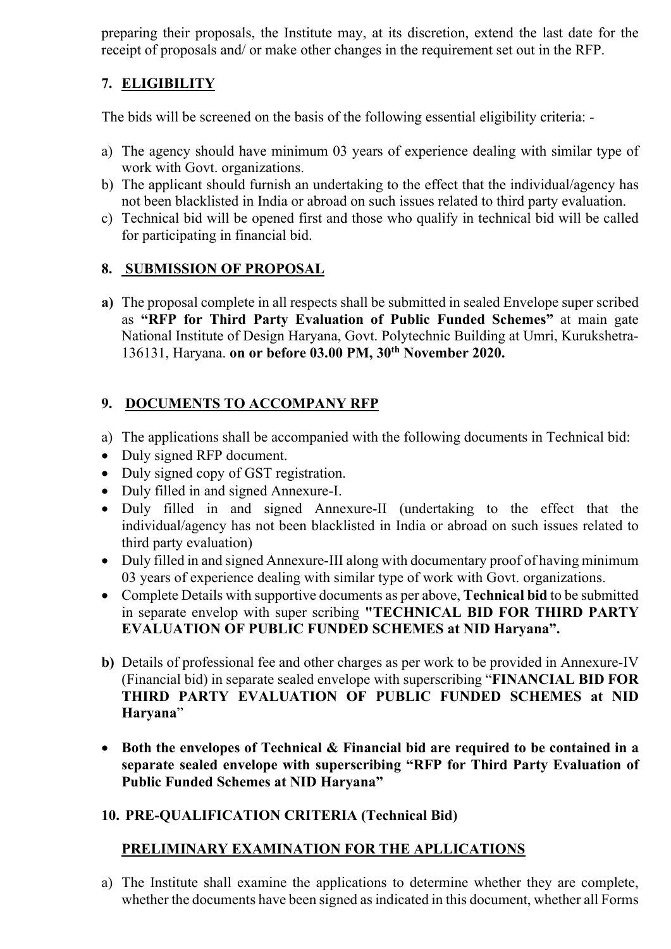preparing their proposals, the Institute may, at its discretion, extend the last date for the receipt of proposals and/ or make other changes in the requirement set out in the RFP.

# **7. ELIGIBILITY**

The bids will be screened on the basis of the following essential eligibility criteria: -

- a) The agency should have minimum 03 years of experience dealing with similar type of work with Govt. organizations.
- b) The applicant should furnish an undertaking to the effect that the individual/agency has not been blacklisted in India or abroad on such issues related to third party evaluation.
- c) Technical bid will be opened first and those who qualify in technical bid will be called for participating in financial bid.

# **8. SUBMISSION OF PROPOSAL**

**a)** The proposal complete in all respects shall be submitted in sealed Envelope super scribed as **"RFP for Third Party Evaluation of Public Funded Schemes"** at main gate National Institute of Design Haryana, Govt. Polytechnic Building at Umri, Kurukshetra-136131, Haryana. **on or before 03.00 PM, 30th November 2020.**

# **9. DOCUMENTS TO ACCOMPANY RFP**

- a) The applications shall be accompanied with the following documents in Technical bid:
- Duly signed RFP document.
- Duly signed copy of GST registration.
- Duly filled in and signed Annexure-I.
- Duly filled in and signed Annexure-II (undertaking to the effect that the individual/agency has not been blacklisted in India or abroad on such issues related to third party evaluation)
- Duly filled in and signed Annexure-III along with documentary proof of having minimum 03 years of experience dealing with similar type of work with Govt. organizations.
- Complete Details with supportive documents as per above, **Technical bid** to be submitted in separate envelop with super scribing **"TECHNICAL BID FOR THIRD PARTY EVALUATION OF PUBLIC FUNDED SCHEMES at NID Haryana".**
- **b)** Details of professional fee and other charges as per work to be provided in Annexure-IV (Financial bid) in separate sealed envelope with superscribing "**FINANCIAL BID FOR THIRD PARTY EVALUATION OF PUBLIC FUNDED SCHEMES at NID Haryana**"
- **Both the envelopes of Technical & Financial bid are required to be contained in a separate sealed envelope with superscribing "RFP for Third Party Evaluation of Public Funded Schemes at NID Haryana"**

# **10. PRE-QUALIFICATION CRITERIA (Technical Bid)**

# **PRELIMINARY EXAMINATION FOR THE APLLICATIONS**

a) The Institute shall examine the applications to determine whether they are complete, whether the documents have been signed as indicated in this document, whether all Forms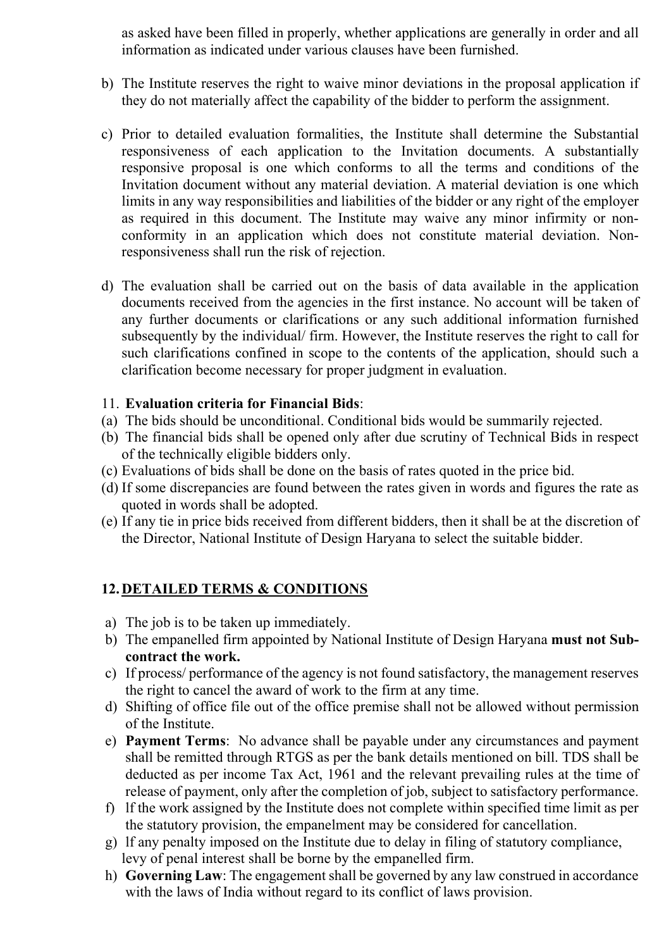as asked have been filled in properly, whether applications are generally in order and all information as indicated under various clauses have been furnished.

- b) The Institute reserves the right to waive minor deviations in the proposal application if they do not materially affect the capability of the bidder to perform the assignment.
- c) Prior to detailed evaluation formalities, the Institute shall determine the Substantial responsiveness of each application to the Invitation documents. A substantially responsive proposal is one which conforms to all the terms and conditions of the Invitation document without any material deviation. A material deviation is one which limits in any way responsibilities and liabilities of the bidder or any right of the employer as required in this document. The Institute may waive any minor infirmity or nonconformity in an application which does not constitute material deviation. Nonresponsiveness shall run the risk of rejection.
- d) The evaluation shall be carried out on the basis of data available in the application documents received from the agencies in the first instance. No account will be taken of any further documents or clarifications or any such additional information furnished subsequently by the individual/ firm. However, the Institute reserves the right to call for such clarifications confined in scope to the contents of the application, should such a clarification become necessary for proper judgment in evaluation.

### 11. **Evaluation criteria for Financial Bids**:

- (a) The bids should be unconditional. Conditional bids would be summarily rejected.
- (b) The financial bids shall be opened only after due scrutiny of Technical Bids in respect of the technically eligible bidders only.
- (c) Evaluations of bids shall be done on the basis of rates quoted in the price bid.
- (d) If some discrepancies are found between the rates given in words and figures the rate as quoted in words shall be adopted.
- (e) If any tie in price bids received from different bidders, then it shall be at the discretion of the Director, National Institute of Design Haryana to select the suitable bidder.

### **12.DETAILED TERMS & CONDITIONS**

- a) The job is to be taken up immediately.
- b) The empanelled firm appointed by National Institute of Design Haryana **must not Subcontract the work.**
- c) If process/ performance of the agency is not found satisfactory, the management reserves the right to cancel the award of work to the firm at any time.
- d) Shifting of office file out of the office premise shall not be allowed without permission of the Institute.
- e) **Payment Terms**: No advance shall be payable under any circumstances and payment shall be remitted through RTGS as per the bank details mentioned on bill. TDS shall be deducted as per income Tax Act, 1961 and the relevant prevailing rules at the time of release of payment, only after the completion of job, subject to satisfactory performance.
- f) lf the work assigned by the Institute does not complete within specified time limit as per the statutory provision, the empanelment may be considered for cancellation.
- g) lf any penalty imposed on the Institute due to delay in filing of statutory compliance, levy of penal interest shall be borne by the empanelled firm.
- h) **Governing Law**: The engagement shall be governed by any law construed in accordance with the laws of India without regard to its conflict of laws provision.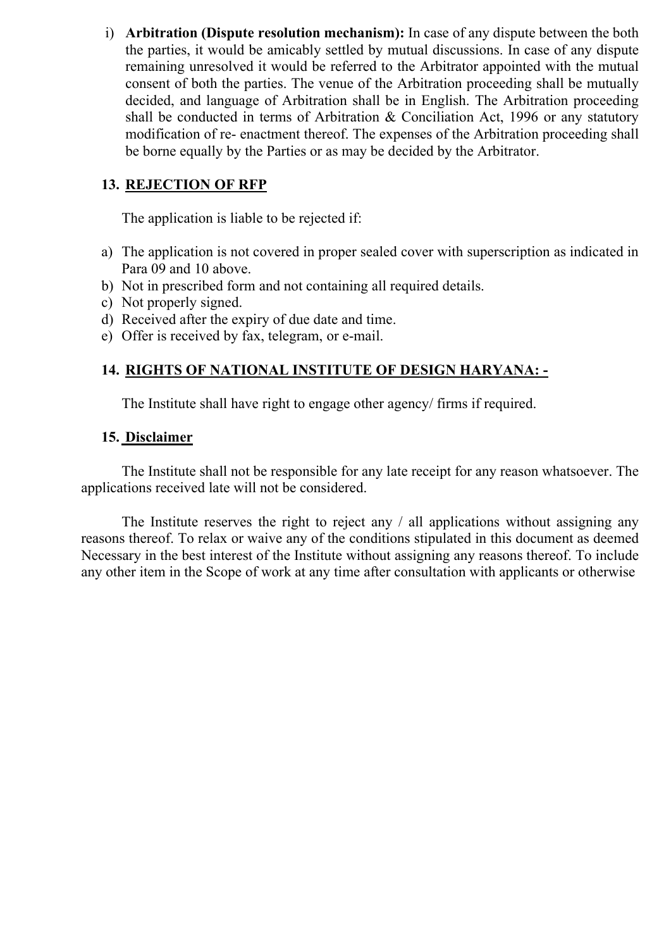i) **Arbitration (Dispute resolution mechanism):** In case of any dispute between the both the parties, it would be amicably settled by mutual discussions. In case of any dispute remaining unresolved it would be referred to the Arbitrator appointed with the mutual consent of both the parties. The venue of the Arbitration proceeding shall be mutually decided, and language of Arbitration shall be in English. The Arbitration proceeding shall be conducted in terms of Arbitration & Conciliation Act, 1996 or any statutory modification of re- enactment thereof. The expenses of the Arbitration proceeding shall be borne equally by the Parties or as may be decided by the Arbitrator.

### **13. REJECTION OF RFP**

The application is liable to be rejected if:

- a) The application is not covered in proper sealed cover with superscription as indicated in Para 09 and 10 above.
- b) Not in prescribed form and not containing all required details.
- c) Not properly signed.
- d) Received after the expiry of due date and time.
- e) Offer is received by fax, telegram, or e-mail.

## **14. RIGHTS OF NATIONAL INSTITUTE OF DESIGN HARYANA: -**

The Institute shall have right to engage other agency/ firms if required.

### **15. Disclaimer**

The Institute shall not be responsible for any late receipt for any reason whatsoever. The applications received late will not be considered.

The Institute reserves the right to reject any / all applications without assigning any reasons thereof. To relax or waive any of the conditions stipulated in this document as deemed Necessary in the best interest of the Institute without assigning any reasons thereof. To include any other item in the Scope of work at any time after consultation with applicants or otherwise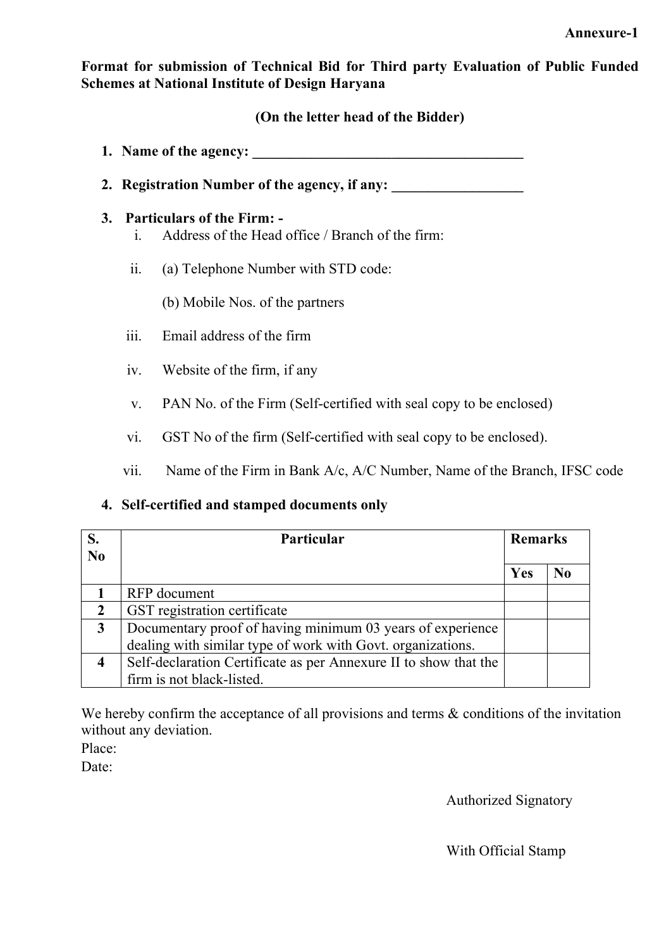**Format for submission of Technical Bid for Third party Evaluation of Public Funded Schemes at National Institute of Design Haryana**

### **(On the letter head of the Bidder)**

- **1. Name of the agency:**
- 2. **Registration Number of the agency, if any:**

### **3. Particulars of the Firm: -**

- i. Address of the Head office / Branch of the firm:
- ii. (a) Telephone Number with STD code:

(b) Mobile Nos. of the partners

- iii. Email address of the firm
- iv. Website of the firm, if any
- v. PAN No. of the Firm (Self-certified with seal copy to be enclosed)
- vi. GST No of the firm (Self-certified with seal copy to be enclosed).
- vii. Name of the Firm in Bank A/c, A/C Number, Name of the Branch, IFSC code

## **4. Self-certified and stamped documents only**

| N <sub>0</sub> | <b>Particular</b>                                                | <b>Remarks</b> |    |
|----------------|------------------------------------------------------------------|----------------|----|
|                |                                                                  | Yes            | No |
|                | RFP document                                                     |                |    |
| $\overline{2}$ | GST registration certificate                                     |                |    |
| 3              | Documentary proof of having minimum 03 years of experience       |                |    |
|                | dealing with similar type of work with Govt. organizations.      |                |    |
|                | Self-declaration Certificate as per Annexure II to show that the |                |    |
|                | firm is not black-listed.                                        |                |    |

We hereby confirm the acceptance of all provisions and terms  $\&$  conditions of the invitation without any deviation.

Place:

Date:

Authorized Signatory

With Official Stamp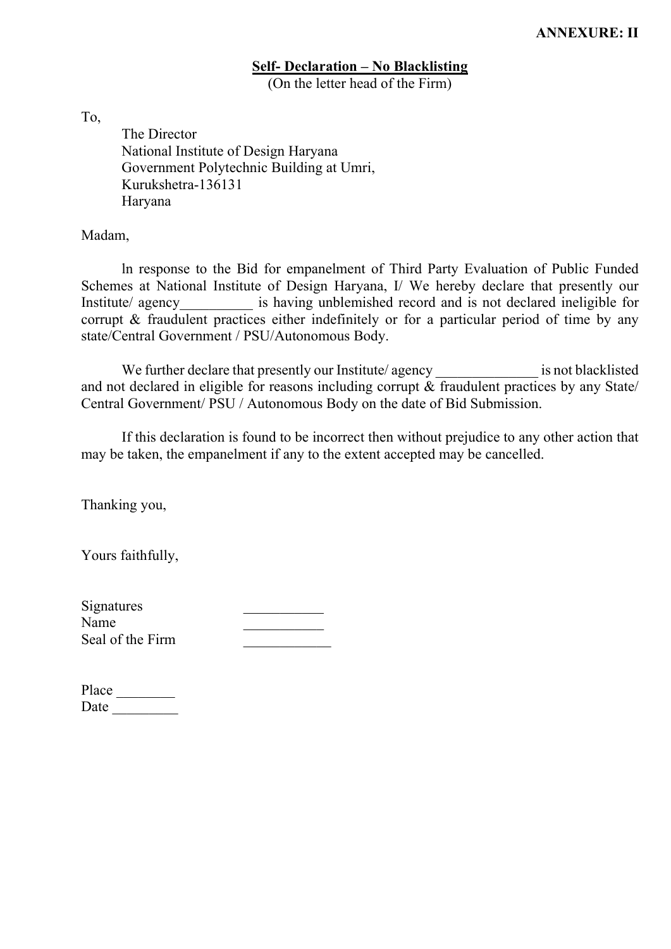#### **Self- Declaration – No Blacklisting**  (On the letter head of the Firm)

To,

The Director National Institute of Design Haryana Government Polytechnic Building at Umri, Kurukshetra-136131 Haryana

Madam,

ln response to the Bid for empanelment of Third Party Evaluation of Public Funded Schemes at National Institute of Design Haryana, I/ We hereby declare that presently our Institute/ agency is having unblemished record and is not declared ineligible for corrupt & fraudulent practices either indefinitely or for a particular period of time by any state/Central Government / PSU/Autonomous Body.

We further declare that presently our Institute/ agency is not blacklisted and not declared in eligible for reasons including corrupt  $\&$  fraudulent practices by any State/ Central Government/ PSU / Autonomous Body on the date of Bid Submission.

If this declaration is found to be incorrect then without prejudice to any other action that may be taken, the empanelment if any to the extent accepted may be cancelled.

Thanking you,

Yours faithfully,

| Signatures       |  |
|------------------|--|
| Name             |  |
| Seal of the Firm |  |
|                  |  |

| Place |  |
|-------|--|
| Date  |  |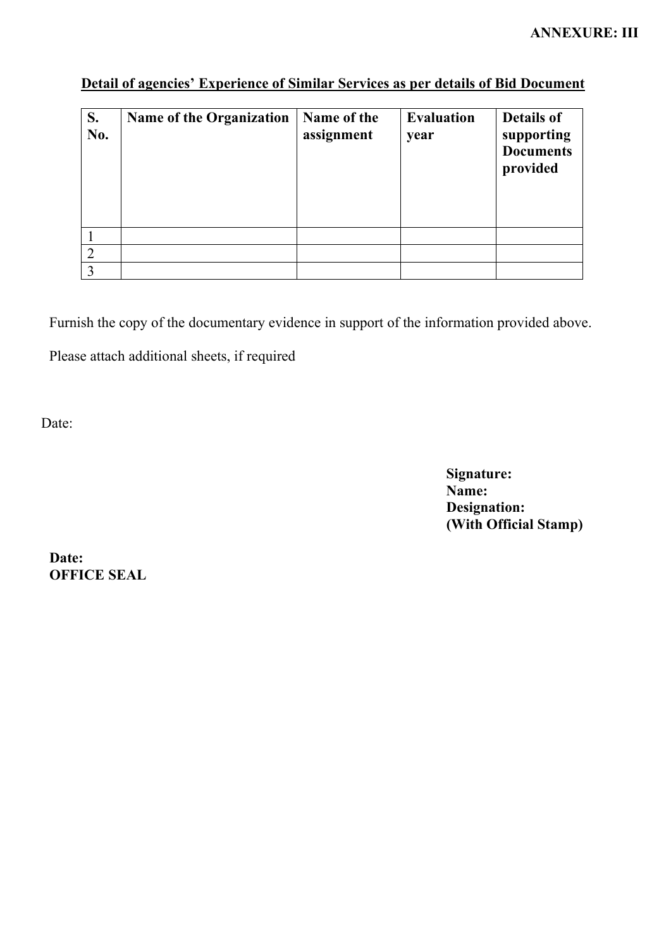| S.<br>No.      | <b>Name of the Organization</b> | Name of the<br>assignment | <b>Evaluation</b><br>year | <b>Details of</b><br>supporting<br><b>Documents</b><br>provided |
|----------------|---------------------------------|---------------------------|---------------------------|-----------------------------------------------------------------|
|                |                                 |                           |                           |                                                                 |
| $\overline{2}$ |                                 |                           |                           |                                                                 |
| $\mathcal{E}$  |                                 |                           |                           |                                                                 |

# **Detail of agencies' Experience of Similar Services as per details of Bid Document**

Furnish the copy of the documentary evidence in support of the information provided above.

Please attach additional sheets, if required

Date:

**Signature: Name: Designation: (With Official Stamp)**

**Date: OFFICE SEAL**